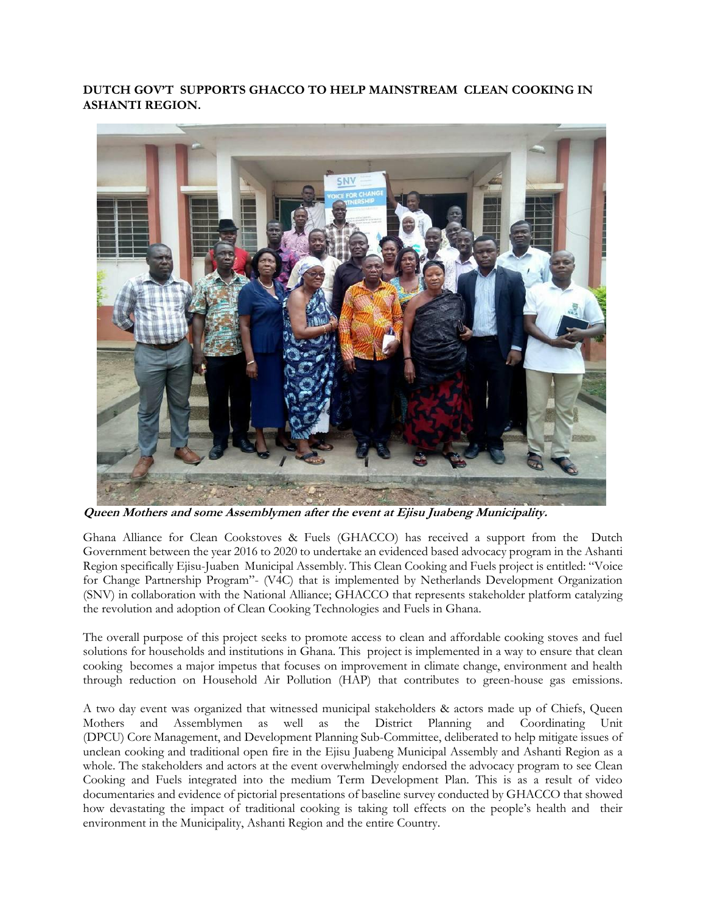## **DUTCH GOV'T SUPPORTS GHACCO TO HELP MAINSTREAM CLEAN COOKING IN ASHANTI REGION.**



**Queen Mothers and some Assemblymen after the event at Ejisu Juabeng Municipality.**

Ghana Alliance for Clean Cookstoves & Fuels (GHACCO) has received a support from the Dutch Government between the year 2016 to 2020 to undertake an evidenced based advocacy program in the Ashanti Region specifically Ejisu-Juaben Municipal Assembly. This Clean Cooking and Fuels project is entitled: "Voice for Change Partnership Program"- (V4C) that is implemented by Netherlands Development Organization (SNV) in collaboration with the National Alliance; GHACCO that represents stakeholder platform catalyzing the revolution and adoption of Clean Cooking Technologies and Fuels in Ghana.

The overall purpose of this project seeks to promote access to clean and affordable cooking stoves and fuel solutions for households and institutions in Ghana. This project is implemented in a way to ensure that clean cooking becomes a major impetus that focuses on improvement in climate change, environment and health through reduction on Household Air Pollution (HAP) that contributes to green-house gas emissions.

A two day event was organized that witnessed municipal stakeholders & actors made up of Chiefs, Queen Mothers and Assemblymen as well as the District Planning and Coordinating Unit (DPCU) Core Management, and Development Planning Sub-Committee, deliberated to help mitigate issues of unclean cooking and traditional open fire in the Ejisu Juabeng Municipal Assembly and Ashanti Region as a whole. The stakeholders and actors at the event overwhelmingly endorsed the advocacy program to see Clean Cooking and Fuels integrated into the medium Term Development Plan. This is as a result of video documentaries and evidence of pictorial presentations of baseline survey conducted by GHACCO that showed how devastating the impact of traditional cooking is taking toll effects on the people's health and their environment in the Municipality, Ashanti Region and the entire Country.